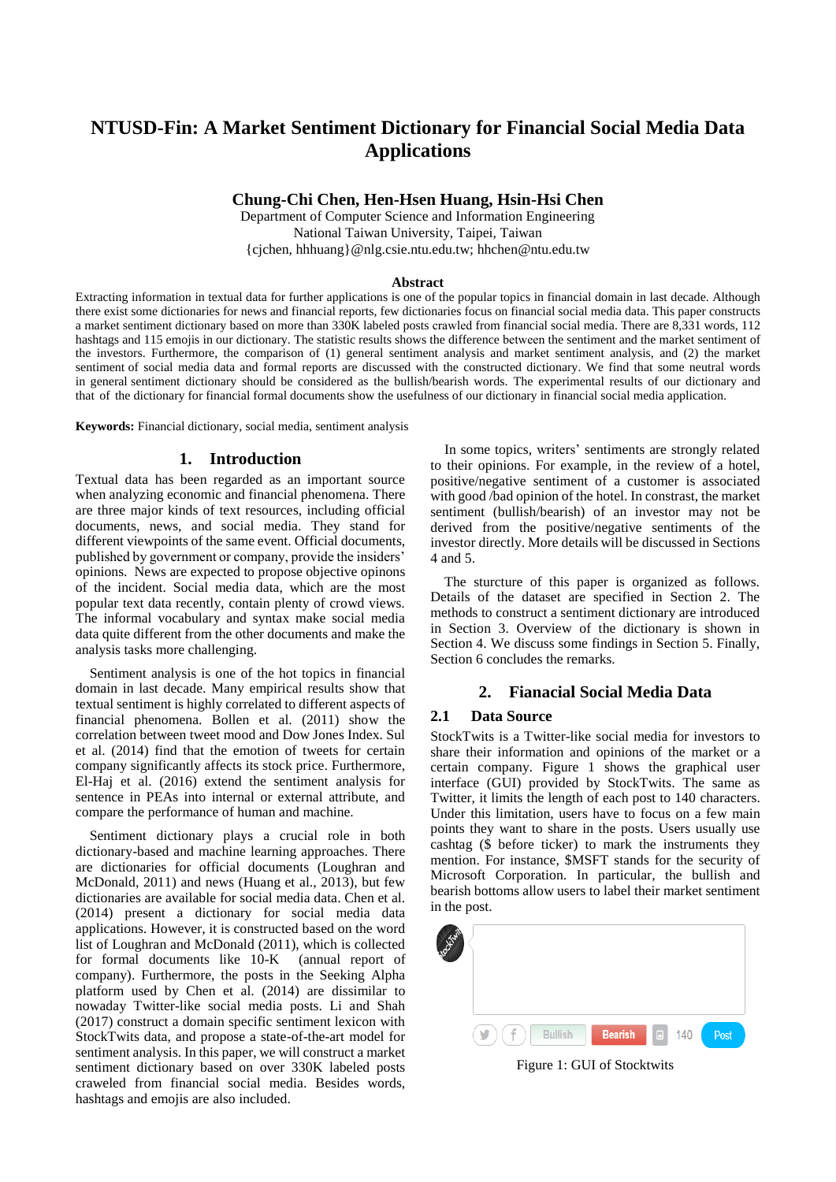# **NTUSD-Fin: A Market Sentiment Dictionary for Financial Social Media Data Applications**

**Chung-Chi Chen, Hen-Hsen Huang, Hsin-Hsi Chen** 

Department of Computer Science and Information Engineering National Taiwan University, Taipei, Taiwan {cjchen, hhhuang}@nlg.csie.ntu.edu.tw; hhchen@ntu.edu.tw

#### **Abstract**

Extracting information in textual data for further applications is one of the popular topics in financial domain in last decade. Although there exist some dictionaries for news and financial reports, few dictionaries focus on financial social media data. This paper constructs a market sentiment dictionary based on more than 330K labeled posts crawled from financial social media. There are 8,331 words, 112 hashtags and 115 emojis in our dictionary. The statistic results shows the difference between the sentiment and the market sentiment of the investors. Furthermore, the comparison of (1) general sentiment analysis and market sentiment analysis, and (2) the market sentiment of social media data and formal reports are discussed with the constructed dictionary. We find that some neutral words in general sentiment dictionary should be considered as the bullish/bearish words. The experimental results of our dictionary and that of the dictionary for financial formal documents show the usefulness of our dictionary in financial social media application.

**Keywords:** Financial dictionary, social media, sentiment analysis

## **1. Introduction**

Textual data has been regarded as an important source when analyzing economic and financial phenomena. There are three major kinds of text resources, including official documents, news, and social media. They stand for different viewpoints of the same event. Official documents, published by government or company, provide the insiders' opinions. News are expected to propose objective opinons of the incident. Social media data, which are the most popular text data recently, contain plenty of crowd views. The informal vocabulary and syntax make social media data quite different from the other documents and make the analysis tasks more challenging.

Sentiment analysis is one of the hot topics in financial domain in last decade. Many empirical results show that textual sentiment is highly correlated to different aspects of financial phenomena. Bollen et al. (2011) show the correlation between tweet mood and Dow Jones Index. Sul et al. (2014) find that the emotion of tweets for certain company significantly affects its stock price. Furthermore, El-Haj et al. (2016) extend the sentiment analysis for sentence in PEAs into internal or external attribute, and compare the performance of human and machine.

Sentiment dictionary plays a crucial role in both dictionary-based and machine learning approaches. There are dictionaries for official documents (Loughran and McDonald, 2011) and news (Huang et al., 2013), but few dictionaries are available for social media data. Chen et al. (2014) present a dictionary for social media data applications. However, it is constructed based on the word list of Loughran and McDonald (2011), which is collected for formal documents like 10-K (annual report of company). Furthermore, the posts in the Seeking Alpha platform used by Chen et al. (2014) are dissimilar to nowaday Twitter-like social media posts. Li and Shah (2017) construct a domain specific sentiment lexicon with StockTwits data, and propose a state-of-the-art model for sentiment analysis. In this paper, we will construct a market sentiment dictionary based on over 330K labeled posts craweled from financial social media. Besides words, hashtags and emojis are also included.

In some topics, writers' sentiments are strongly related to their opinions. For example, in the review of a hotel, positive/negative sentiment of a customer is associated with good /bad opinion of the hotel. In constrast, the market sentiment (bullish/bearish) of an investor may not be derived from the positive/negative sentiments of the investor directly. More details will be discussed in Sections 4 and 5.

The sturcture of this paper is organized as follows. Details of the dataset are specified in Section 2. The methods to construct a sentiment dictionary are introduced in Section 3. Overview of the dictionary is shown in Section 4. We discuss some findings in Section 5. Finally, Section 6 concludes the remarks.

#### **2. Fianacial Social Media Data**

#### **2.1 Data Source**

StockTwits is a Twitter-like social media for investors to share their information and opinions of the market or a certain company. Figure 1 shows the graphical user interface (GUI) provided by StockTwits. The same as Twitter, it limits the length of each post to 140 characters. Under this limitation, users have to focus on a few main points they want to share in the posts. Users usually use cashtag (\$ before ticker) to mark the instruments they mention. For instance, \$MSFT stands for the security of Microsoft Corporation. In particular, the bullish and bearish bottoms allow users to label their market sentiment in the post.



Figure 1: GUI of Stocktwits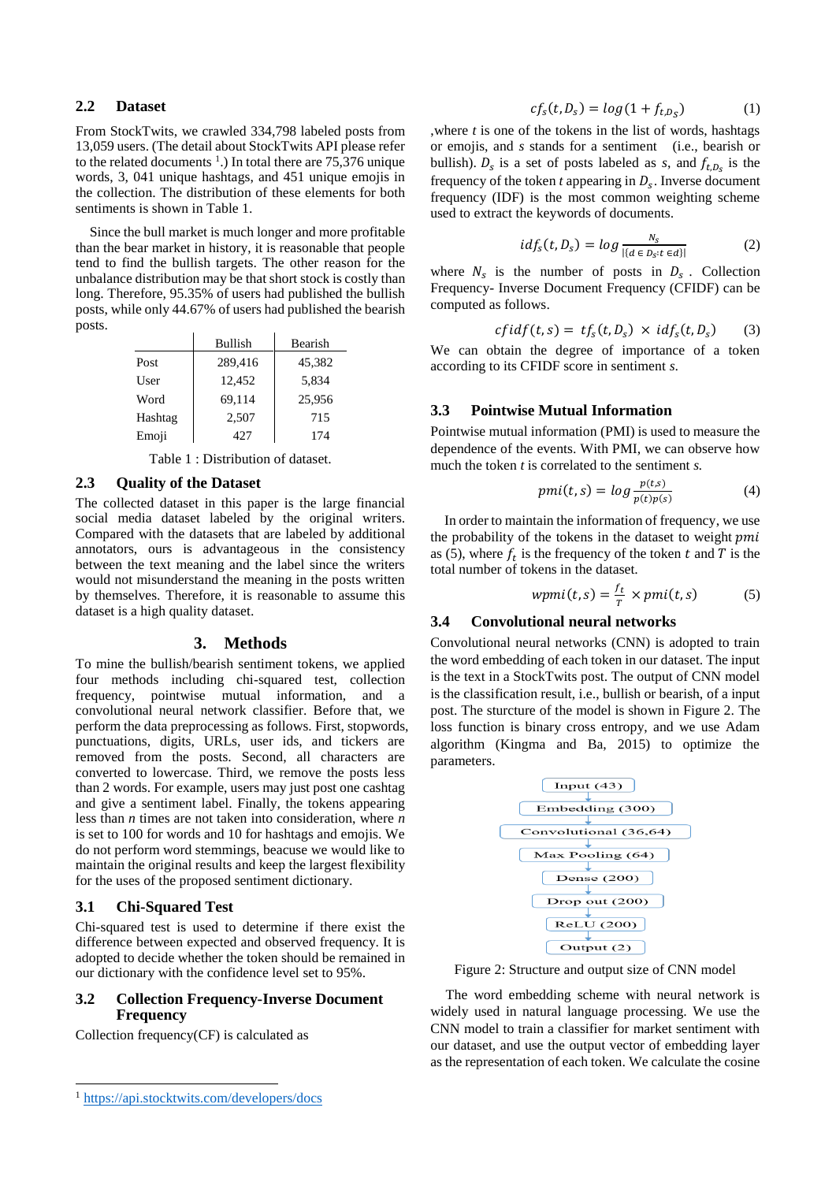## **2.2 Dataset**

From StockTwits, we crawled 334,798 labeled posts from 13,059 users. (The detail about StockTwits API please refer to the related documents <sup>1</sup>.) In total there are  $75,376$  unique words, 3, 041 unique hashtags, and 451 unique emojis in the collection. The distribution of these elements for both sentiments is shown in Table 1.

Since the bull market is much longer and more profitable than the bear market in history, it is reasonable that people tend to find the bullish targets. The other reason for the unbalance distribution may be that short stock is costly than long. Therefore, 95.35% of users had published the bullish posts, while only 44.67% of users had published the bearish posts.

|         | <b>Bullish</b> | Bearish |
|---------|----------------|---------|
| Post    | 289,416        | 45,382  |
| User    | 12,452         | 5,834   |
| Word    | 69.114         | 25,956  |
| Hashtag | 2,507          | 715     |
| Emoji   | 42.7           | 174     |

Table 1 : Distribution of dataset.

#### **2.3 Quality of the Dataset**

The collected dataset in this paper is the large financial social media dataset labeled by the original writers. Compared with the datasets that are labeled by additional annotators, ours is advantageous in the consistency between the text meaning and the label since the writers would not misunderstand the meaning in the posts written by themselves. Therefore, it is reasonable to assume this dataset is a high quality dataset.

#### **3. Methods**

To mine the bullish/bearish sentiment tokens, we applied four methods including chi-squared test, collection frequency, pointwise mutual information, and a convolutional neural network classifier. Before that, we perform the data preprocessing as follows. First, stopwords, punctuations, digits, URLs, user ids, and tickers are removed from the posts. Second, all characters are converted to lowercase. Third, we remove the posts less than 2 words. For example, users may just post one cashtag and give a sentiment label. Finally, the tokens appearing less than *n* times are not taken into consideration, where *n* is set to 100 for words and 10 for hashtags and emojis. We do not perform word stemmings, beacuse we would like to maintain the original results and keep the largest flexibility for the uses of the proposed sentiment dictionary.

#### **3.1 Chi-Squared Test**

Chi-squared test is used to determine if there exist the difference between expected and observed frequency. It is adopted to decide whether the token should be remained in our dictionary with the confidence level set to 95%.

#### **3.2 Collection Frequency-Inverse Document Frequency**

Collection frequency(CF) is calculated as

$$
cf_s(t, D_s) = log(1 + f_{t, D_s})
$$
 (1)

,where *t* is one of the tokens in the list of words, hashtags or emojis, and *s* stands for a sentiment (i.e., bearish or bullish).  $D_s$  is a set of posts labeled as *s*, and  $f_{t,D_s}$  is the frequency of the token  $t$  appearing in  $D_s$ . Inverse document frequency (IDF) is the most common weighting scheme used to extract the keywords of documents.

$$
idfS(t, DS) = log \frac{N_S}{|\{d \in D_S : t \in d\}|}
$$
 (2)

where  $N_s$  is the number of posts in  $D_s$ . Collection Frequency- Inverse Document Frequency (CFIDF) can be computed as follows.

$$
cfidf(t,s) = tf_s(t,D_s) \times idf_s(t,D_s) \qquad (3)
$$

We can obtain the degree of importance of a token according to its CFIDF score in sentiment *s*.

#### **3.3 Pointwise Mutual Information**

Pointwise mutual information (PMI) is used to measure the dependence of the events. With PMI, we can observe how much the token *t* is correlated to the sentiment *s.*

$$
pmi(t,s) = \log \frac{p(t,s)}{p(t)p(s)}
$$
(4)

In order to maintain the information of frequency, we use the probability of the tokens in the dataset to weight pmi as (5), where  $f_t$  is the frequency of the token  $t$  and  $T$  is the total number of tokens in the dataset.

$$
wpmi(t,s) = \frac{f_t}{T} \times pmi(t,s) \tag{5}
$$

## **3.4 Convolutional neural networks**

Convolutional neural networks (CNN) is adopted to train the word embedding of each token in our dataset. The input is the text in a StockTwits post. The output of CNN model is the classification result, i.e., bullish or bearish, of a input post. The sturcture of the model is shown in Figure 2. The loss function is binary cross entropy, and we use Adam algorithm (Kingma and Ba, 2015) to optimize the parameters.



Figure 2: Structure and output size of CNN model

The word embedding scheme with neural network is widely used in natural language processing. We use the CNN model to train a classifier for market sentiment with our dataset, and use the output vector of embedding layer as the representation of each token. We calculate the cosine

<sup>1</sup> <https://api.stocktwits.com/developers/docs>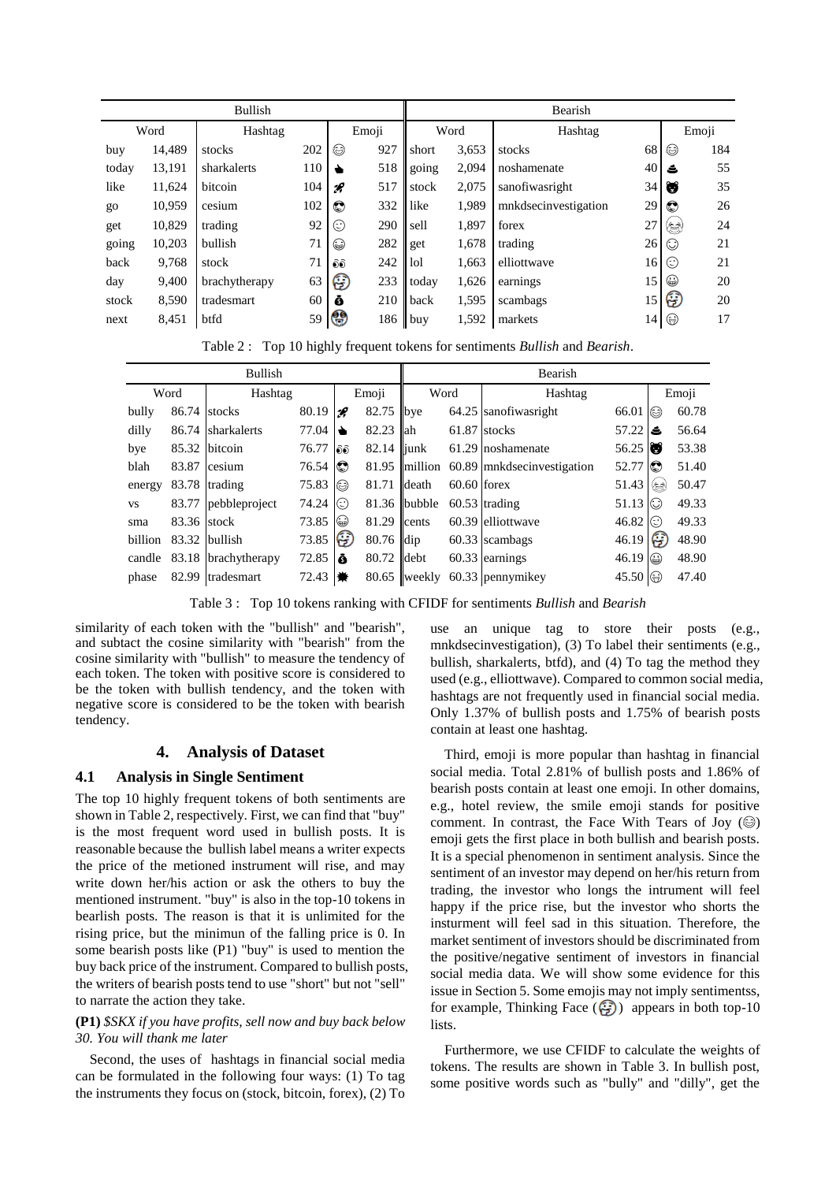|       |        | <b>Bullish</b> |     |                                            |           | Bearish |       |                      |    |         |     |  |
|-------|--------|----------------|-----|--------------------------------------------|-----------|---------|-------|----------------------|----|---------|-----|--|
| Word  |        | Hashtag        |     | Emoji                                      |           |         | Word  | Hashtag              |    | Emoji   |     |  |
| buy   | 14,489 | stocks         | 202 | ☺                                          | 927       | short   | 3,653 | stocks               | 68 | ☺       | 184 |  |
| today | 13,191 | sharkalerts    | 110 | ▴                                          | 518       | going   | 2,094 | noshamenate          | 40 | ځ       | 55  |  |
| like  | 11,624 | bitcoin        | 104 | °,                                         | 517       | stock   | 2,075 | sanofiwasright       | 34 | U       | 35  |  |
| go    | 10,959 | cesium         | 102 | ☺                                          | 332       | like    | 1,989 | mnkdsecinvestigation | 29 | ☺       | 26  |  |
| get   | 10,829 | trading        | 92  | ⊙                                          | 290       | sell    | 1,897 | forex                | 27 | کا      | 24  |  |
| going | 10,203 | bullish        | 71  | ٤                                          | 282       | get     | 1,678 | trading              | 26 | $\odot$ | 21  |  |
| back  | 9,768  | stock          | 71  | $\widehat{\mathbf{O}}\widehat{\mathbf{O}}$ | 242       | lol     | 1,663 | elliottwave          | 16 | ⊙       | 21  |  |
| day   | 9,400  | brachytherapy  | 63  | Θ                                          | 233       | today   | 1,626 | earnings             | 15 | ٤       | 20  |  |
| stock | 8,590  | tradesmart     | 60  | Õ                                          | 210       | back    | 1,595 | scambags             | 15 | Θ       | 20  |  |
| next  | 8,451  | btfd           | 59  | ❀                                          | $186$ buy |         | 1,592 | markets              | 14 | ☺       | 17  |  |

Table 2 : Top 10 highly frequent tokens for sentiments *Bullish* and *Bearish*.

|                 |               | <b>Bullish</b>      |       |              |       | Bearish       |               |                                    |       |              |       |  |
|-----------------|---------------|---------------------|-------|--------------|-------|---------------|---------------|------------------------------------|-------|--------------|-------|--|
| Word<br>Hashtag |               |                     | Emoji |              | Word  |               | Hashtag       |                                    | Emoji |              |       |  |
| bully           | 86.74         | stocks              | 80.19 | 'R           | 82.75 | bye           |               | 64.25 sanofiwasright               | 66.01 | 0            | 60.78 |  |
| dilly           | 86.74         | sharkalerts         | 77.04 |              | 82.23 | <b>l</b> ah   |               | 61.87 stocks                       | 57.22 | ڪ            | 56.64 |  |
| bye             |               | 85.32 bitcoin       | 76.77 | ெ            | 82.14 | liunk         |               | 61.29 noshamenate                  | 56.25 |              | 53.38 |  |
| blah            | 83.87         | cesium              | 76.54 | ☺            | 81.95 |               |               | million 60.89 mnkdsecinvestigation | 52.77 | $\odot$      | 51.40 |  |
| energy          |               | 83.78 trading       | 75.83 | ⊜            | 81.71 | <b>death</b>  | $60.60$ forex |                                    | 51.43 | (€           | 50.47 |  |
| <b>VS</b>       | 83.77         | pebbleproject       | 74.24 | $(\because)$ | 81.36 | <b>bubble</b> |               | $60.53$ trading                    | 51.13 | $\odot$      | 49.33 |  |
| sma             | $83.36$ stock |                     | 73.85 | ٤            | 81.29 | cents         |               | 60.39 elliottwave                  | 46.82 | $(\because)$ | 49.33 |  |
| billion         | 83.32         | bullish             | 73.85 | Θ            | 80.76 | dip           |               | 60.33 scambags                     | 46.19 | Θ            | 48.90 |  |
| candle          |               | 83.18 brachytherapy | 72.85 | ă            | 80.72 | debt          |               | 60.33 earnings                     | 46.19 | $\bigodot$   | 48.90 |  |
| phase           | 82.99         | tradesmart          | 72.43 | Ⅰ₩           | 80.65 | weekly        |               | 60.33 pennymikey                   | 45.50 |              | 47.40 |  |

Table 3 : Top 10 tokens ranking with CFIDF for sentiments *Bullish* and *Bearish*

similarity of each token with the "bullish" and "bearish", and subtact the cosine similarity with "bearish" from the cosine similarity with "bullish" to measure the tendency of each token. The token with positive score is considered to be the token with bullish tendency, and the token with negative score is considered to be the token with bearish tendency.

## **4. Analysis of Dataset**

#### **4.1 Analysis in Single Sentiment**

The top 10 highly frequent tokens of both sentiments are shown in Table 2, respectively. First, we can find that "buy" is the most frequent word used in bullish posts. It is reasonable because the bullish label means a writer expects the price of the metioned instrument will rise, and may write down her/his action or ask the others to buy the mentioned instrument. "buy" is also in the top-10 tokens in bearlish posts. The reason is that it is unlimited for the rising price, but the minimun of the falling price is 0. In some bearish posts like (P1) "buy" is used to mention the buy back price of the instrument. Compared to bullish posts, the writers of bearish posts tend to use "short" but not "sell" to narrate the action they take.

#### **(P1)** *\$SKX if you have profits, sell now and buy back below 30. You will thank me later*

Second, the uses of hashtags in financial social media can be formulated in the following four ways: (1) To tag the instruments they focus on (stock, bitcoin, forex), (2) To

use an unique tag to store their posts (e.g., mnkdsecinvestigation), (3) To label their sentiments (e.g., bullish, sharkalerts, btfd), and (4) To tag the method they used (e.g., elliottwave). Compared to common social media, hashtags are not frequently used in financial social media. Only 1.37% of bullish posts and 1.75% of bearish posts contain at least one hashtag.

Third, emoji is more popular than hashtag in financial social media. Total 2.81% of bullish posts and 1.86% of bearish posts contain at least one emoji. In other domains, e.g., hotel review, the smile emoji stands for positive comment. In contrast, the Face With Tears of Joy  $(\circledcirc)$ emoji gets the first place in both bullish and bearish posts. It is a special phenomenon in sentiment analysis. Since the sentiment of an investor may depend on her/his return from trading, the investor who longs the intrument will feel happy if the price rise, but the investor who shorts the insturment will feel sad in this situation. Therefore, the market sentiment of investors should be discriminated from the positive/negative sentiment of investors in financial social media data. We will show some evidence for this issue in Section 5. Some emojis may not imply sentimentss, for example, Thinking Face  $(\mathcal{G})$  appears in both top-10 lists.

Furthermore, we use CFIDF to calculate the weights of tokens. The results are shown in Table 3. In bullish post, some positive words such as "bully" and "dilly", get the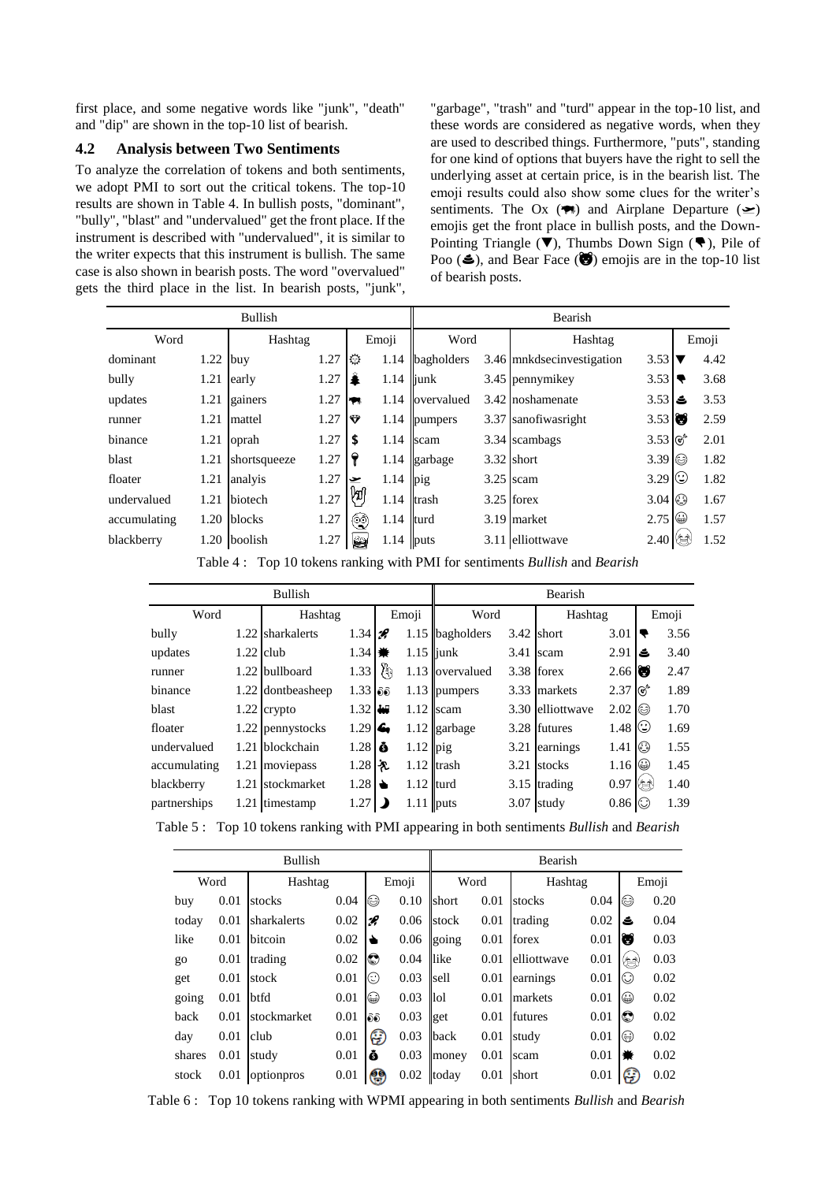first place, and some negative words like "junk", "death" and "dip" are shown in the top-10 list of bearish.

## **4.2 Analysis between Two Sentiments**

To analyze the correlation of tokens and both sentiments, we adopt PMI to sort out the critical tokens. The top-10 results are shown in Table 4. In bullish posts, "dominant", "bully", "blast" and "undervalued" get the front place. If the instrument is described with "undervalued", it is similar to the writer expects that this instrument is bullish. The same case is also shown in bearish posts. The word "overvalued" gets the third place in the list. In bearish posts, "junk",

"garbage", "trash" and "turd" appear in the top-10 list, and these words are considered as negative words, when they are used to described things. Furthermore, "puts", standing for one kind of options that buyers have the right to sell the underlying asset at certain price, is in the bearish list. The emoji results could also show some clues for the writer's sentiments. The Ox  $(\bullet)$  and Airplane Departure  $(\bullet)$ emojis get the front place in bullish posts, and the Down-Pointing Triangle ( $\nabla$ ), Thumbs Down Sign ( $\nabla$ ), Pile of Poo ( $\triangle$ ), and Bear Face ( $\bigcirc$ ) emojis are in the top-10 list of bearish posts.

|              |      | <b>Bullish</b> |      |     |             | Bearish          |  |                           |                |       |      |  |
|--------------|------|----------------|------|-----|-------------|------------------|--|---------------------------|----------------|-------|------|--|
| Word         |      | Hashtag        |      |     | Emoji       | Word             |  | Hashtag                   |                | Emoji |      |  |
| dominant     | 1.22 | buy            | 1.27 | 检   | 1.14        | bagholders       |  | 3.46 mnkdsecinvestigation | 3.53           |       | 4.42 |  |
| bully        | 1.21 | early          | 1.27 | LÄ  | $1.14$ junk |                  |  | 3.45 pennymikey           | 3.53           |       | 3.68 |  |
| updates      | 1.21 | gainers        | 1.27 | ľТ  | 1.14        | overvalued       |  | 3.42 noshamenate          | 3.53           | ڪ     | 3.53 |  |
| runner       | 1.21 | mattel         | 1.27 | Ÿ   |             | $1.14$   pumpers |  | 3.37 sanofiwasright       | 3.53           |       | 2.59 |  |
| binance      | 1.21 | oprah          | 1.27 | \$  | 1.14        | scam             |  | 3.34 scambags             | 3.53 $@f$      |       | 2.01 |  |
| blast        | 1.21 | shortsqueeze   | 1.27 |     |             | $1.14$ garbage   |  | $3.32$ short              | 3.39           |       | 1.82 |  |
| floater      | 1.21 | analyis        | 1.27 | ⊵ا  | 1.14        | pi               |  | $3.25$ scam               | $3.29$ $\circ$ |       | 1.82 |  |
| undervalued  | 1.21 | biotech        | 1.27 | (bd | 1.14        | trash            |  | $3.25$ forex              | $3.04$ $\odot$ |       | 1.67 |  |
| accumulating | 1.20 | blocks         | 1.27 | ☺   | 1.14        | turd             |  | 3.19 market               | 2.75           | ٤     | 1.57 |  |
| blackberry   | 1.20 | boolish        | 1.27 | 9   | 1.14        | puts             |  | 3.11 elliottwave          | 2.40           |       | 1.52 |  |

Table 4 : Top 10 tokens ranking with PMI for sentiments *Bullish* and *Bearish*

|              |      | <b>Bullish</b>    |                      | Bearish |              |                  |      |                  |      |                      |      |
|--------------|------|-------------------|----------------------|---------|--------------|------------------|------|------------------|------|----------------------|------|
| Word         |      | Hashtag           |                      |         | Emoji        | Word             |      | Hashtag          |      | Emoji                |      |
| bully        |      | 1.22 sharkalerts  | 1.34 $\mathscr{R}$   |         |              | 1.15 bagholders  |      | $3.42$ short     | 3.01 | I۴                   | 3.56 |
| updates      |      | $1.22$ club       | 1.34                 | 駦       | $1.15$ liunk |                  |      | $3.41$ scam      | 2.91 | ڪ ا                  | 3.40 |
| runner       |      | 1.22 bullboard    | 1.33                 | 偽       |              | 1.13 lovervalued |      | 3.38 forex       | 2.66 |                      | 2.47 |
| binance      |      | 1.22 dontbeasheep | $1.33$ 66            |         |              | $1.13$   pumpers |      | 3.33 markets     | 2.37 | $\mathbb{G}^*$       | 1.89 |
| blast        |      | 1.22 crypto       | $1.32$ $\frac{1}{2}$ |         |              | $1.12$ scam      |      | 3.30 elliottwave | 2.02 | ⊜                    | 1.70 |
| floater      |      | 1.22 pennystocks  | $1.29$ $\bigodot$    |         |              | $1.12$ garbage   |      | 3.28 futures     | 1.48 | $\left(\cdot\right)$ | 1.69 |
| undervalued  |      | 1.21 blockchain   | 1.28                 | ă       | $1.12$   pig |                  | 3.21 | earnings         | 1.41 | $\odot$              | 1.55 |
| accumulating | 1.21 | moviepass         | 1.28 $\lambda$       |         |              | $1.12$ ltrash    |      | 3.21 stocks      | 1.16 | ۳                    | 1.45 |
| blackberry   | 1.21 | stockmarket       | 1.28                 |         | $1.12$ turd  |                  |      | 3.15 trading     | 0.97 | (CC)                 | 1.40 |
| partnerships | .21  | timestamp         | 1.27                 |         | 1.11         | puts             |      | 3.07 study       | 0.86 |                      | 1.39 |

Table 5 : Top 10 tokens ranking with PMI appearing in both sentiments *Bullish* and *Bearish*

|        |                 | <b>Bullish</b> |      | Bearish |      |              |      |             |      |       |      |
|--------|-----------------|----------------|------|---------|------|--------------|------|-------------|------|-------|------|
|        | Word<br>Hashtag |                |      | Emoji   |      | Word         |      | Hashtag     |      | Emoji |      |
| buy    | 0.01            | stocks         | 0.04 | ☺       | 0.10 | short        | 0.01 | stocks      | 0.04 | ⊜     | 0.20 |
| today  | 0.01            | sharkalerts    | 0.02 | °       | 0.06 | stock        | 0.01 | trading     | 0.02 | ۓ     | 0.04 |
| like   | 0.01            | bitcoin        | 0.02 |         | 0.06 | going        | 0.01 | forex       | 0.01 | ₩     | 0.03 |
| go     | 0.01            | trading        | 0.02 | ☺       | 0.04 | like         | 0.01 | elliottwave | 0.01 | لگا   | 0.03 |
| get    | 0.01            | stock          | 0.01 | ⊙       | 0.03 | <b>Isell</b> | 0.01 | earnings    | 0.01 | ⊙     | 0.02 |
| going  | 0.01            | <b>btfd</b>    | 0.01 | ٤       | 0.03 | -lol         | 0.01 | markets     | 0.01 | ٤     | 0.02 |
| back   | 0.01            | stockmarket    | 0.01 | ெ       | 0.03 | get          | 0.01 | futures     | 0.01 | ☺     | 0.02 |
| day    | 0.01            | club           | 0.01 | ω       | 0.03 | back         | 0.01 | study       | 0.01 | ⊛     | 0.02 |
| shares | 0.01            | study          | 0.01 | Ă       | 0.03 | money        | 0.01 | scam        | 0.01 | 駦     | 0.02 |
| stock  | 0.01            | optionpros     | 0.01 | €       | 0.02 | today        | 0.01 | short       | 0.01 | С     | 0.02 |

Table 6 : Top 10 tokens ranking with WPMI appearing in both sentiments *Bullish* and *Bearish*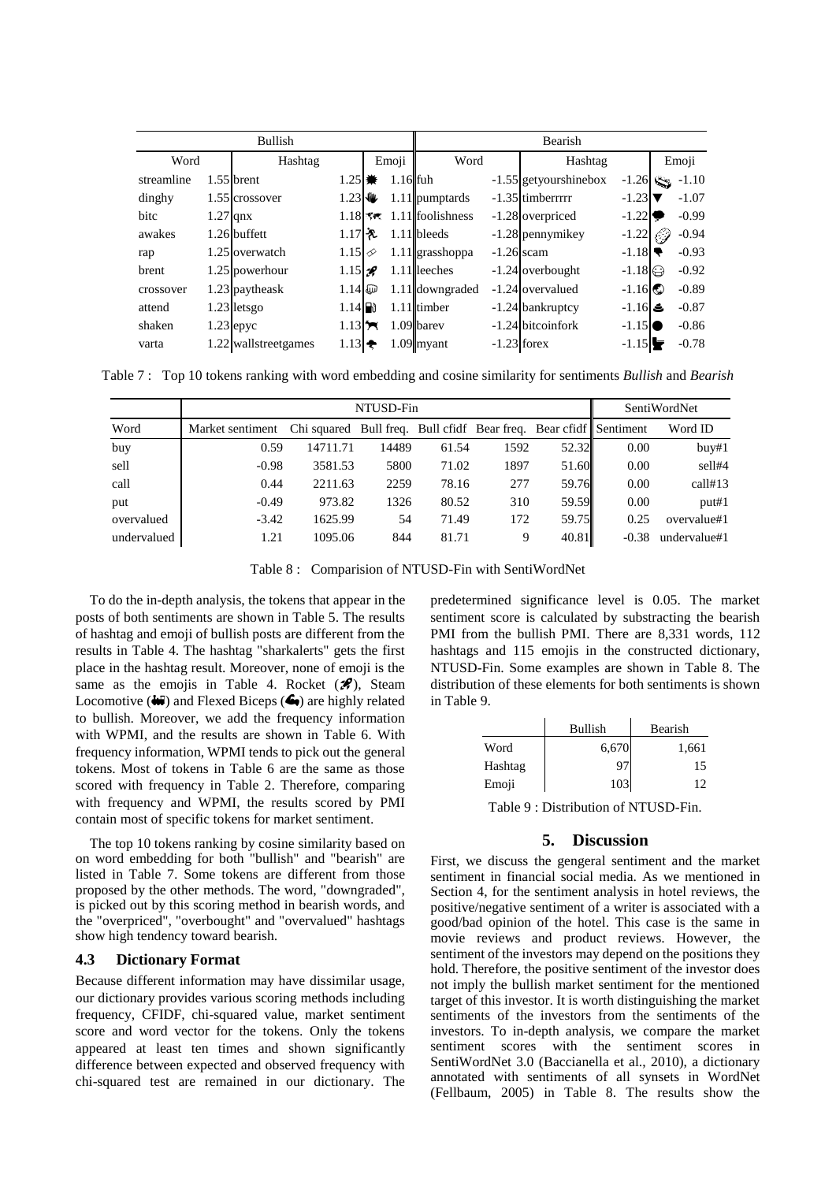|            |  | <b>Bullish</b>       |                    |            | Bearish                          |  |                       |                             |                  |         |
|------------|--|----------------------|--------------------|------------|----------------------------------|--|-----------------------|-----------------------------|------------------|---------|
| Word       |  | Hashtag              |                    | Emoji      | Word                             |  | Hashtag               |                             | Emoji            |         |
| streamline |  | $1.55$ brent         | 1.25 $\ast$        | $1.16$ fuh |                                  |  | -1.55 getyourshinebox | $-1.26$                     | $\mathbb{C}^{n}$ | $-1.10$ |
| dinghy     |  | 1.55 crossover       | 1.23 $\mathbf{w}$  |            | $1.11$ pumptards                 |  | -1.35 timberrrrr      | $-1.23$                     |                  | $-1.07$ |
| bitc       |  | $1.27$ gnx           |                    |            | 1.18 $\sqrt{3}$ 1.11 foolishness |  | -1.28 overpriced      | $-1.22$                     |                  | $-0.99$ |
| awakes     |  | 1.26 buffett         | 1.17 $\lambda$     |            | $1.11$ bleeds                    |  | -1.28 pennymikey      | $-1.22$                     | 64               | $-0.94$ |
| rap        |  | 1.25 overwatch       | $1.15 \otimes$     |            | $1.11$ grasshoppa                |  | $-1.26$ scam          | $-1.18$                     |                  | $-0.93$ |
| brent      |  | 1.25 powerhour       | 1.15 $\mathscr{R}$ |            | 1.11 leeches                     |  | -1.24 overbought      | $-1.18 \oplus$              |                  | $-0.92$ |
| crossover  |  | 1.23 paytheask       | $1.14 \omega$      |            | 1.11 downgraded                  |  | -1.24 overvalued      | $-1.16$                     |                  | $-0.89$ |
| attend     |  | $1.23$ letsgo        | $1.14$ h           |            | $1.11$ timber                    |  | -1.24 bankruptcy      | $-1.16$ . As a set of $\pm$ |                  | $-0.87$ |
| shaken     |  | $1.23$ epyc          | $1.13$ $\star$     |            | 1.09 barev                       |  | -1.24 bitcoinfork     | $-1.15$ <b>O</b>            |                  | $-0.86$ |
| varta      |  | 1.22 wallstreetgames | $1.13$ $\div$      |            | $1.09$ myant                     |  | $-1.23$ forex         | $-1.15$                     |                  | $-0.78$ |

Table 7 : Top 10 tokens ranking with word embedding and cosine similarity for sentiments *Bullish* and *Bearish*

|             |                                                                                    |          | NTUSD-Fin |       |      |       | SentiWordNet |              |  |
|-------------|------------------------------------------------------------------------------------|----------|-----------|-------|------|-------|--------------|--------------|--|
| Word        | Market sentiment Chi squared Bull freq. Bull cfidf Bear freq. Bear cfidf Sentiment |          |           |       |      |       |              | Word ID      |  |
| buy         | 0.59                                                                               | 14711.71 | 14489     | 61.54 | 1592 | 52.32 | 0.00         | buv#1        |  |
| sell        | $-0.98$                                                                            | 3581.53  | 5800      | 71.02 | 1897 | 51.60 | 0.00         | sell#4       |  |
| call        | 0.44                                                                               | 2211.63  | 2259      | 78.16 | 277  | 59.76 | 0.00         | call#13      |  |
| put         | $-0.49$                                                                            | 973.82   | 1326      | 80.52 | 310  | 59.59 | 0.00         | put#1        |  |
| overvalued  | $-3.42$                                                                            | 1625.99  | 54        | 71.49 | 172  | 59.75 | 0.25         | overvalue#1  |  |
| undervalued | 1.21                                                                               | 1095.06  | 844       | 81.71 | 9    | 40.81 | $-0.38$      | undervalue#1 |  |

Table 8 : Comparision of NTUSD-Fin with SentiWordNet

To do the in-depth analysis, the tokens that appear in the posts of both sentiments are shown in Table 5. The results of hashtag and emoji of bullish posts are different from the results in Table 4. The hashtag "sharkalerts" gets the first place in the hashtag result. Moreover, none of emoji is the same as the emojis in Table 4. Rocket  $(\mathcal{B})$ , Steam Locomotive  $(\biguplus)$  and Flexed Biceps  $(\biguplus)$  are highly related to bullish. Moreover, we add the frequency information with WPMI, and the results are shown in Table 6. With frequency information, WPMI tends to pick out the general tokens. Most of tokens in Table 6 are the same as those scored with frequency in Table 2. Therefore, comparing with frequency and WPMI, the results scored by PMI contain most of specific tokens for market sentiment.

The top 10 tokens ranking by cosine similarity based on on word embedding for both "bullish" and "bearish" are listed in Table 7. Some tokens are different from those proposed by the other methods. The word, "downgraded", is picked out by this scoring method in bearish words, and the "overpriced", "overbought" and "overvalued" hashtags show high tendency toward bearish.

## **4.3 Dictionary Format**

Because different information may have dissimilar usage, our dictionary provides various scoring methods including frequency, CFIDF, chi-squared value, market sentiment score and word vector for the tokens. Only the tokens appeared at least ten times and shown significantly difference between expected and observed frequency with chi-squared test are remained in our dictionary. The

predetermined significance level is 0.05. The market sentiment score is calculated by substracting the bearish PMI from the bullish PMI. There are 8,331 words, 112 hashtags and 115 emojis in the constructed dictionary, NTUSD-Fin. Some examples are shown in Table 8. The distribution of these elements for both sentiments is shown in Table 9.

|         | <b>Bullish</b> | Bearish |
|---------|----------------|---------|
| Word    | 6,670          | 1,661   |
| Hashtag | 97             | 15      |
| Emoji   | 103            | 12      |

Table 9 : Distribution of NTUSD-Fin.

#### **5. Discussion**

First, we discuss the gengeral sentiment and the market sentiment in financial social media. As we mentioned in Section 4, for the sentiment analysis in hotel reviews, the positive/negative sentiment of a writer is associated with a good/bad opinion of the hotel. This case is the same in movie reviews and product reviews. However, the sentiment of the investors may depend on the positions they hold. Therefore, the positive sentiment of the investor does not imply the bullish market sentiment for the mentioned target of this investor. It is worth distinguishing the market sentiments of the investors from the sentiments of the investors. To in-depth analysis, we compare the market sentiment scores with the sentiment scores in SentiWordNet 3.0 (Baccianella et al., 2010), a dictionary annotated with sentiments of all synsets in WordNet (Fellbaum, 2005) in Table 8. The results show the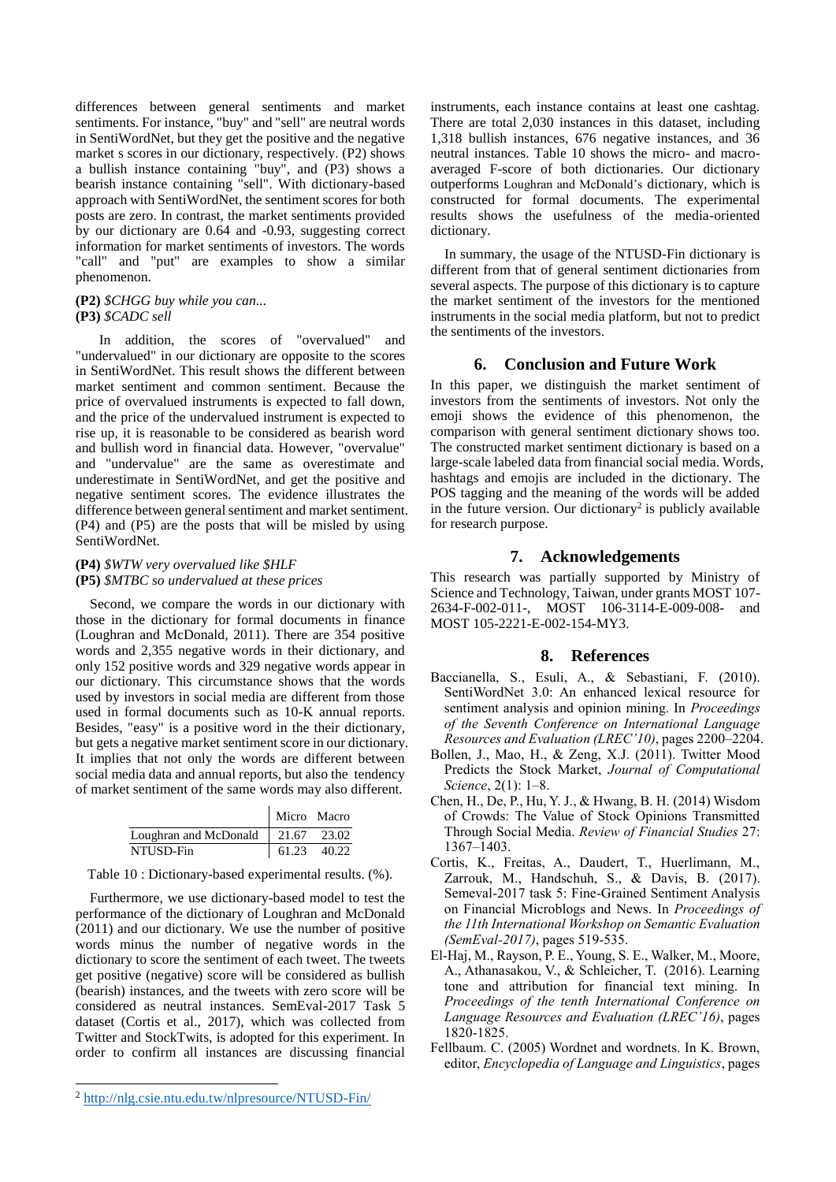differences between general sentiments and market sentiments. For instance, "buy" and "sell" are neutral words in SentiWordNet, but they get the positive and the negative market s scores in our dictionary, respectively. (P2) shows a bullish instance containing "buy", and (P3) shows a bearish instance containing "sell". With dictionary-based approach with SentiWordNet, the sentiment scores for both posts are zero. In contrast, the market sentiments provided by our dictionary are 0.64 and -0.93, suggesting correct information for market sentiments of investors. The words "call" and "put" are examples to show a similar phenomenon.

#### **(P2)** *\$CHGG buy while you can...* **(P3)** *\$CADC sell*

In addition, the scores of "overvalued" and "undervalued" in our dictionary are opposite to the scores in SentiWordNet. This result shows the different between market sentiment and common sentiment. Because the price of overvalued instruments is expected to fall down, and the price of the undervalued instrument is expected to rise up, it is reasonable to be considered as bearish word and bullish word in financial data. However, "overvalue" and "undervalue" are the same as overestimate and underestimate in SentiWordNet, and get the positive and negative sentiment scores. The evidence illustrates the difference between general sentiment and market sentiment. (P4) and (P5) are the posts that will be misled by using SentiWordNet.

## **(P4)** *\$WTW very overvalued like \$HLF* **(P5)** *\$MTBC so undervalued at these prices*

Second, we compare the words in our dictionary with those in the dictionary for formal documents in finance (Loughran and McDonald, 2011). There are 354 positive words and 2,355 negative words in their dictionary, and only 152 positive words and 329 negative words appear in our dictionary. This circumstance shows that the words used by investors in social media are different from those used in formal documents such as 10-K annual reports. Besides, "easy" is a positive word in the their dictionary, but gets a negative market sentiment score in our dictionary. It implies that not only the words are different between social media data and annual reports, but also the tendency of market sentiment of the same words may also different.

|                       | Micro Macro |       |
|-----------------------|-------------|-------|
| Loughran and McDonald | 21.67 23.02 |       |
| NTUSD-Fin             | 61.23       | 40.22 |

Table 10 : Dictionary-based experimental results. (%).

Furthermore, we use dictionary-based model to test the performance of the dictionary of Loughran and McDonald (2011) and our dictionary. We use the number of positive words minus the number of negative words in the dictionary to score the sentiment of each tweet. The tweets get positive (negative) score will be considered as bullish (bearish) instances, and the tweets with zero score will be considered as neutral instances. SemEval-2017 Task 5 dataset (Cortis et al., 2017), which was collected from Twitter and StockTwits, is adopted for this experiment. In order to confirm all instances are discussing financial instruments, each instance contains at least one cashtag. There are total 2,030 instances in this dataset, including 1,318 bullish instances, 676 negative instances, and 36 neutral instances. Table 10 shows the micro- and macroaveraged F-score of both dictionaries. Our dictionary outperforms Loughran and McDonald's dictionary, which is constructed for formal documents. The experimental results shows the usefulness of the media-oriented dictionary.

In summary, the usage of the NTUSD-Fin dictionary is different from that of general sentiment dictionaries from several aspects. The purpose of this dictionary is to capture the market sentiment of the investors for the mentioned instruments in the social media platform, but not to predict the sentiments of the investors.

## **6. Conclusion and Future Work**

In this paper, we distinguish the market sentiment of investors from the sentiments of investors. Not only the emoji shows the evidence of this phenomenon, the comparison with general sentiment dictionary shows too. The constructed market sentiment dictionary is based on a large-scale labeled data from financial social media. Words, hashtags and emojis are included in the dictionary. The POS tagging and the meaning of the words will be added in the future version. Our dictionary<sup>2</sup> is publicly available for research purpose.

## **7. Acknowledgements**

This research was partially supported by Ministry of Science and Technology, Taiwan, under grants MOST 107- 2634-F-002-011-, MOST 106-3114-E-009-008- and MOST 105-2221-E-002-154-MY3.

## **8. References**

- Baccianella, S., Esuli, A., & Sebastiani, F. (2010). SentiWordNet 3.0: An enhanced lexical resource for sentiment analysis and opinion mining. In *Proceedings of the Seventh Conference on International Language Resources and Evaluation (LREC'10)*, pages 2200–2204.
- Bollen, J., Mao, H., & Zeng, X.J. (2011). Twitter Mood Predicts the Stock Market, *Journal of Computational Science*, 2(1): 1–8.
- Chen, H., De, P., Hu, Y. J., & Hwang, B. H. (2014) Wisdom of Crowds: The Value of Stock Opinions Transmitted Through Social Media. *Review of Financial Studies* 27: 1367–1403.
- Cortis, K., Freitas, A., Daudert, T., Huerlimann, M., Zarrouk, M., Handschuh, S., & Davis, B. (2017). Semeval-2017 task 5: Fine-Grained Sentiment Analysis on Financial Microblogs and News. In *Proceedings of the 11th International Workshop on Semantic Evaluation (SemEval-2017)*, pages 519-535.
- El-Haj, M., Rayson, P. E., Young, S. E., Walker, M., Moore, A., Athanasakou, V., & Schleicher, T. (2016). Learning tone and attribution for financial text mining. In *Proceedings of the tenth International Conference on Language Resources and Evaluation (LREC'16)*, pages 1820-1825.
- Fellbaum. C. (2005) Wordnet and wordnets. In K. Brown, editor, *Encyclopedia of Language and Linguistics*, pages

<sup>2</sup> <http://nlg.csie.ntu.edu.tw/nlpresource/NTUSD-Fin/>